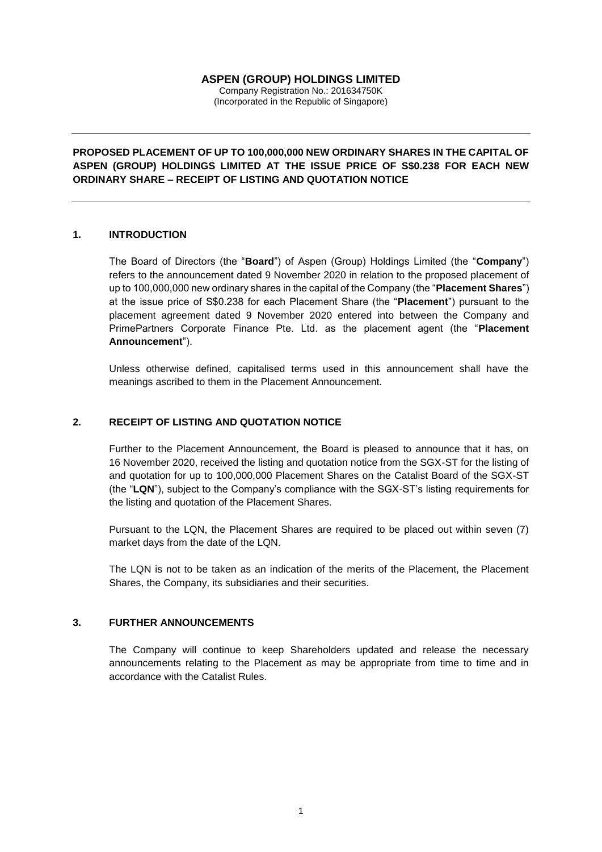# **ASPEN (GROUP) HOLDINGS LIMITED**

Company Registration No.: 201634750K (Incorporated in the Republic of Singapore)

**PROPOSED PLACEMENT OF UP TO 100,000,000 NEW ORDINARY SHARES IN THE CAPITAL OF ASPEN (GROUP) HOLDINGS LIMITED AT THE ISSUE PRICE OF S\$0.238 FOR EACH NEW ORDINARY SHARE – RECEIPT OF LISTING AND QUOTATION NOTICE**

### **1. INTRODUCTION**

The Board of Directors (the "**Board**") of Aspen (Group) Holdings Limited (the "**Company**") refers to the announcement dated 9 November 2020 in relation to the proposed placement of up to 100,000,000 new ordinary shares in the capital of the Company (the "**Placement Shares**") at the issue price of S\$0.238 for each Placement Share (the "**Placement**") pursuant to the placement agreement dated 9 November 2020 entered into between the Company and PrimePartners Corporate Finance Pte. Ltd. as the placement agent (the "**Placement Announcement**").

Unless otherwise defined, capitalised terms used in this announcement shall have the meanings ascribed to them in the Placement Announcement.

# **2. RECEIPT OF LISTING AND QUOTATION NOTICE**

Further to the Placement Announcement, the Board is pleased to announce that it has, on 16 November 2020, received the listing and quotation notice from the SGX-ST for the listing of and quotation for up to 100,000,000 Placement Shares on the Catalist Board of the SGX-ST (the "**LQN**"), subject to the Company's compliance with the SGX-ST's listing requirements for the listing and quotation of the Placement Shares.

Pursuant to the LQN, the Placement Shares are required to be placed out within seven (7) market days from the date of the LQN.

The LQN is not to be taken as an indication of the merits of the Placement, the Placement Shares, the Company, its subsidiaries and their securities.

### **3. FURTHER ANNOUNCEMENTS**

The Company will continue to keep Shareholders updated and release the necessary announcements relating to the Placement as may be appropriate from time to time and in accordance with the Catalist Rules.